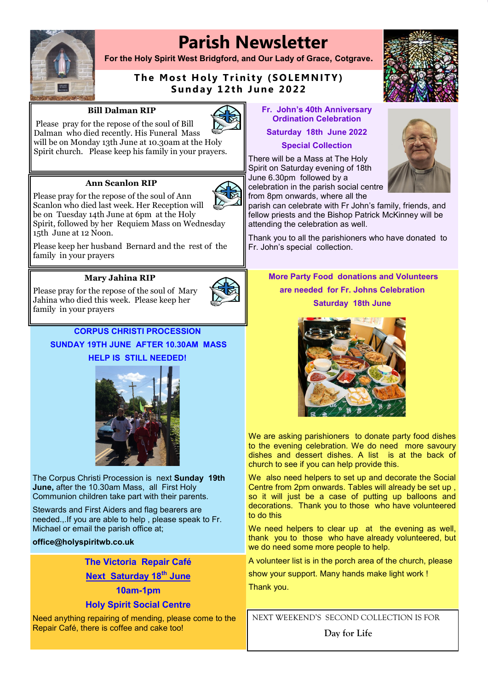# **Parish Newsletter**



15th June at 12 Noon.

**For the Holy Spirit West Bridgford, and Our Lady of Grace, Cotgrave.**

## **The Most Holy Trinity (SOLEMNITY) Sunday 12th June 2022**

#### **Bill Dalman RIP**

**Ann Scanlon RIP** Please pray for the repose of the soul of Ann Scanlon who died last week. Her Reception will be on Tuesday 14th June at 6pm at the Holy

Spirit church. Please keep his family in your prayers.

Please pray for the repose of the soul of Bill Dalman who died recently. His Funeral Mass



**Fr. John's 40th Anniversary Ordination Celebration** 

**Saturday 18th June 2022 Special Collection** 

There will be a Mass at The Holy Spirit on Saturday evening of 18th June 6.30pm followed by a celebration in the parish social centre from 8pm onwards, where all the





parish can celebrate with Fr John's family, friends, and fellow priests and the Bishop Patrick McKinney will be attending the celebration as well.

Thank you to all the parishioners who have donated to Fr. John's special collection.

family in your prayers

Spirit, followed by her Requiem Mass on Wednesday

Please keep her husband Bernard and the rest of the

#### **Mary Jahina RIP**

Please pray for the repose of the soul of Mary Jahina who died this week. Please keep her family in your prayers



#### **CORPUS CHRISTI PROCESSION**

**SUNDAY 19TH JUNE AFTER 10.30AM MASS HELP IS STILL NEEDED!** 



The Corpus Christi Procession is next **Sunday 19th June,** after the 10.30am Mass, all First Holy Communion children take part with their parents.

Stewards and First Aiders and flag bearers are needed.,.If you are able to help , please speak to Fr. Michael or email the parish office at;

#### **office@holyspiritwb.co.uk**

**The Victoria Repair Café** 

**Next Saturday 18th June** 

### **10am-1pm**

#### **Holy Spirit Social Centre**

Need anything repairing of mending, please come to the Repair Café, there is coffee and cake too!

**More Party Food donations and Volunteers are needed for Fr. Johns Celebration Saturday 18th June**



We are asking parishioners to donate party food dishes to the evening celebration. We do need more savoury dishes and dessert dishes. A list is at the back of church to see if you can help provide this.

We also need helpers to set up and decorate the Social Centre from 2pm onwards. Tables will already be set up , so it will just be a case of putting up balloons and decorations. Thank you to those who have volunteered to do this

We need helpers to clear up at the evening as well, thank you to those who have already volunteered, but we do need some more people to help.

A volunteer list is in the porch area of the church, please

show your support. Many hands make light work ! Thank you.

NEXT WEEKEND'S SECOND COLLECTION IS FOR

**Day for Life**

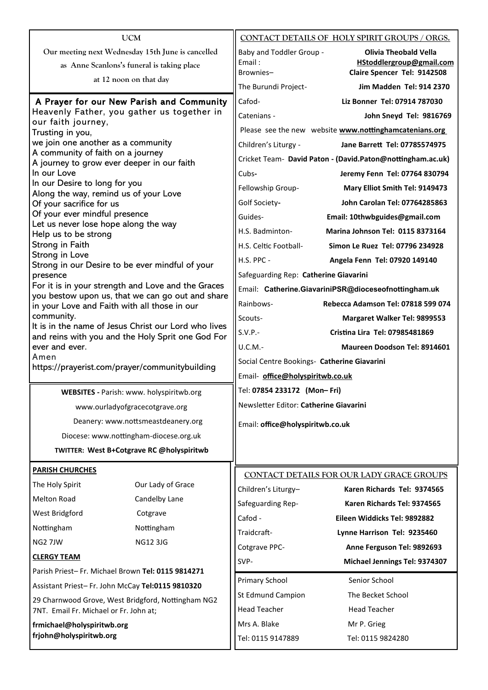| <b>UCM</b>                                                                                                                                                              |                                                      |                                             | CONTACT DETAILS OF HOLY SPIRIT GROUPS / ORGS.              |
|-------------------------------------------------------------------------------------------------------------------------------------------------------------------------|------------------------------------------------------|---------------------------------------------|------------------------------------------------------------|
|                                                                                                                                                                         | Our meeting next Wednesday 15th June is cancelled    | Baby and Toddler Group -                    | <b>Olivia Theobald Vella</b>                               |
|                                                                                                                                                                         | as Anne Scanlons's funeral is taking place           | Email:                                      | HStoddlergroup@gmail.com                                   |
|                                                                                                                                                                         | at 12 noon on that day                               | Brownies-<br>The Burundi Project-           | Claire Spencer Tel: 9142508<br>Jim Madden Tel: 914 2370    |
|                                                                                                                                                                         |                                                      |                                             |                                                            |
| A Prayer for our New Parish and Community<br>Heavenly Father, you gather us together in<br>our faith journey,<br>Trusting in you,<br>we join one another as a community |                                                      | Cafod-                                      | Liz Bonner Tel: 07914 787030                               |
|                                                                                                                                                                         |                                                      | Catenians -                                 | John Sneyd Tel: 9816769                                    |
|                                                                                                                                                                         |                                                      |                                             | Please see the new website www.nottinghamcatenians.org     |
|                                                                                                                                                                         |                                                      | Children's Liturgy -                        | Jane Barrett Tel: 07785574975                              |
| A community of faith on a journey<br>A journey to grow ever deeper in our faith                                                                                         |                                                      |                                             | Cricket Team- David Paton - (David.Paton@nottingham.ac.uk) |
| In our Love                                                                                                                                                             |                                                      | Cubs-                                       | Jeremy Fenn Tel: 07764 830794                              |
| In our Desire to long for you                                                                                                                                           |                                                      | Fellowship Group-                           | Mary Elliot Smith Tel: 9149473                             |
| Along the way, remind us of your Love<br>Of your sacrifice for us                                                                                                       |                                                      | Golf Society-                               | John Carolan Tel: 07764285863                              |
| Of your ever mindful presence                                                                                                                                           |                                                      | Guides-                                     | Email: 10thwbguides@gmail.com                              |
| Let us never lose hope along the way                                                                                                                                    |                                                      | H.S. Badminton-                             | <b>Marina Johnson Tel: 0115 8373164</b>                    |
| Help us to be strong<br>Strong in Faith                                                                                                                                 |                                                      | H.S. Celtic Football-                       | Simon Le Ruez Tel: 07796 234928                            |
| Strong in Love                                                                                                                                                          |                                                      | H.S. PPC -                                  | Angela Fenn Tel: 07920 149140                              |
|                                                                                                                                                                         | Strong in our Desire to be ever mindful of your      |                                             |                                                            |
| presence                                                                                                                                                                |                                                      | Safeguarding Rep: Catherine Giavarini       |                                                            |
| For it is in your strength and Love and the Graces<br>you bestow upon us, that we can go out and share                                                                  |                                                      |                                             | Email: Catherine.GiavariniPSR@dioceseofnottingham.uk       |
| in your Love and Faith with all those in our                                                                                                                            |                                                      | Rainbows-                                   | Rebecca Adamson Tel: 07818 599 074                         |
| community.                                                                                                                                                              | It is in the name of Jesus Christ our Lord who lives | Scouts-                                     | Margaret Walker Tel: 9899553                               |
|                                                                                                                                                                         | and reins with you and the Holy Sprit one God For    | $S.V.P.-$                                   | Cristina Lira Tel: 07985481869                             |
| ever and ever.                                                                                                                                                          |                                                      | $U.C.M.-$                                   | Maureen Doodson Tel: 8914601                               |
| Amen                                                                                                                                                                    |                                                      | Social Centre Bookings- Catherine Giavarini |                                                            |
| https://prayerist.com/prayer/communitybuilding                                                                                                                          |                                                      | Email- office@holyspiritwb.co.uk            |                                                            |
|                                                                                                                                                                         | WEBSITES - Parish: www. holyspiritwb.org             | Tel: 07854 233172 (Mon-Fri)                 |                                                            |
|                                                                                                                                                                         | www.ourladyofgracecotgrave.org                       | Newsletter Editor: Catherine Giavarini      |                                                            |
|                                                                                                                                                                         | Deanery: www.nottsmeastdeanery.org                   | Email: office@holyspiritwb.co.uk            |                                                            |
| Diocese: www.nottingham-diocese.org.uk                                                                                                                                  |                                                      |                                             |                                                            |
|                                                                                                                                                                         | TWITTER: West B+Cotgrave RC @holyspiritwb            |                                             |                                                            |
| <b>PARISH CHURCHES</b>                                                                                                                                                  |                                                      |                                             | CONTACT DETAILS FOR OUR LADY GRACE GROUPS                  |
| The Holy Spirit                                                                                                                                                         | Our Lady of Grace                                    | Children's Liturgy-                         | Karen Richards Tel: 9374565                                |
| <b>Melton Road</b>                                                                                                                                                      | Candelby Lane                                        | Safeguarding Rep-                           | Karen Richards Tel: 9374565                                |
| West Bridgford                                                                                                                                                          | Cotgrave                                             | Cafod -                                     | Eileen Widdicks Tel: 9892882                               |
| Nottingham                                                                                                                                                              | Nottingham                                           | Traidcraft-                                 | Lynne Harrison Tel: 9235460                                |
| NG2 7JW                                                                                                                                                                 | <b>NG12 3JG</b>                                      |                                             |                                                            |
| <b>CLERGY TEAM</b>                                                                                                                                                      |                                                      | Cotgrave PPC-                               | Anne Ferguson Tel: 9892693                                 |
| Parish Priest-Fr. Michael Brown Tel: 0115 9814271                                                                                                                       |                                                      | SVP-                                        | Michael Jennings Tel: 9374307                              |
| Assistant Priest-Fr. John McCay Tel:0115 9810320                                                                                                                        |                                                      | <b>Primary School</b>                       | Senior School                                              |
| 29 Charnwood Grove, West Bridgford, Nottingham NG2                                                                                                                      |                                                      | <b>St Edmund Campion</b>                    | The Becket School                                          |
| 7NT. Email Fr. Michael or Fr. John at;                                                                                                                                  |                                                      | <b>Head Teacher</b>                         | <b>Head Teacher</b>                                        |
| frmichael@holyspiritwb.org<br>frjohn@holyspiritwb.org                                                                                                                   |                                                      | Mrs A. Blake                                | Mr P. Grieg                                                |
|                                                                                                                                                                         |                                                      | Tel: 0115 9147889                           | Tel: 0115 9824280                                          |
|                                                                                                                                                                         |                                                      |                                             |                                                            |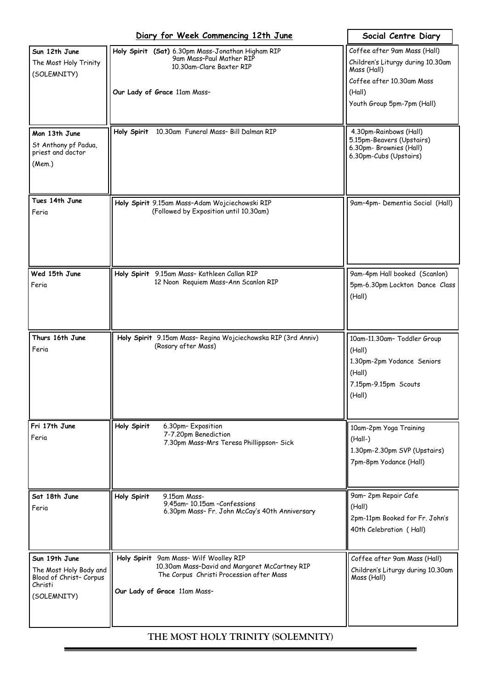|                                                                                              | Diary for Week Commencing 12th June                                                                                                                                 | Social Centre Diary                                                                                             |
|----------------------------------------------------------------------------------------------|---------------------------------------------------------------------------------------------------------------------------------------------------------------------|-----------------------------------------------------------------------------------------------------------------|
| Sun 12th June<br>The Most Holy Trinity                                                       | Holy Spirit (Sat) 6.30pm Mass-Jonathan Higham RIP<br>9am Mass-Paul Mather RIP<br>10.30am-Clare Baxter RIP                                                           | Coffee after 9am Mass (Hall)<br>Children's Liturgy during 10.30am<br>Mass (Hall)                                |
| (SOLEMNITY)                                                                                  | Our Lady of Grace 11am Mass-                                                                                                                                        | Coffee after 10.30am Mass<br>(Hall)<br>Youth Group 5pm-7pm (Hall)                                               |
| Mon 13th June<br>St Anthony pf Padua,<br>priest and doctor<br>(Mem.)                         | 10.30am Funeral Mass- Bill Dalman RIP<br>Holy Spirit                                                                                                                | 4.30pm-Rainbows (Hall)<br>5.15pm-Beavers (Upstairs)<br>6.30pm- Brownies (Hall)<br>6.30pm-Cubs (Upstairs)        |
| Tues 14th June<br>Feria                                                                      | Holy Spirit 9.15am Mass-Adam Wojciechowski RIP<br>(Followed by Exposition until 10.30am)                                                                            | 9am-4pm- Dementia Social (Hall)                                                                                 |
| Wed 15th June<br>Feria                                                                       | Holy Spirit 9.15am Mass- Kathleen Callan RIP<br>12 Noon Requiem Mass-Ann Scanlon RIP                                                                                | 9am-4pm Hall booked (Scanlon)<br>5pm-6.30pm Lockton Dance Class<br>(Hall)                                       |
| Thurs 16th June<br>Feria                                                                     | Holy Spirit 9.15am Mass-Regina Wojciechowska RIP (3rd Anniv)<br>(Rosary after Mass)                                                                                 | 10am-11.30am- Toddler Group<br>(Hall)<br>1.30pm-2pm Yodance Seniors<br>(Hall)<br>7.15pm-9.15pm Scouts<br>(Hall) |
| Fri 17th June<br>Feria                                                                       | Holy Spirit<br>6.30pm-Exposition<br>7-7.20pm Benediction<br>7.30pm Mass-Mrs Teresa Phillippson- Sick                                                                | 10am-2pm Yoga Training<br>$(Hall-)$<br>1.30pm-2.30pm SVP (Upstairs)<br>7pm-8pm Yodance (Hall)                   |
| Sat 18th June<br>Feria                                                                       | Holy Spirit<br>9.15am Mass-<br>9.45am-10.15am-Confessions<br>6.30pm Mass- Fr. John McCay's 40th Anniversary                                                         | 9am-2pm Repair Cafe<br>(Hall)<br>2pm-11pm Booked for Fr. John's<br>40th Celebration (Hall)                      |
| Sun 19th June<br>The Most Holy Body and<br>Blood of Christ- Corpus<br>Christi<br>(SOLEMNITY) | Holy Spirit 9am Mass- Wilf Woolley RIP<br>10.30am Mass-David and Margaret McCartney RIP<br>The Corpus Christi Procession after Mass<br>Our Lady of Grace 11am Mass- | Coffee after 9am Mass (Hall)<br>Children's Liturgy during 10.30am<br>Mass (Hall)                                |

## **THE MOST HOLY TRINITY (SOLEMNITY)**